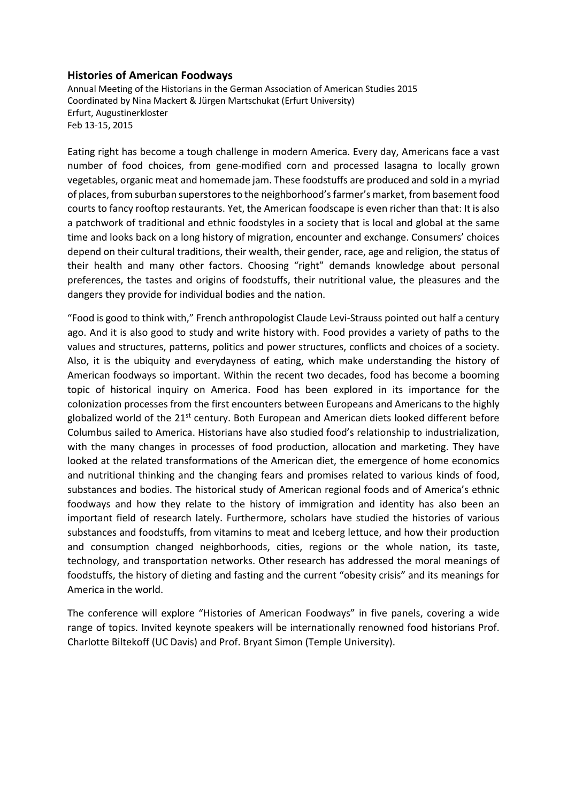## **Histories of American Foodways**

Annual Meeting of the Historians in the German Association of American Studies 2015 Coordinated by Nina Mackert & Jürgen Martschukat (Erfurt University) Erfurt, Augustinerkloster Feb 13-15, 2015

Eating right has become a tough challenge in modern America. Every day, Americans face a vast number of food choices, from gene-modified corn and processed lasagna to locally grown vegetables, organic meat and homemade jam. These foodstuffs are produced and sold in a myriad of places, from suburban superstores to the neighborhood's farmer's market, from basement food courts to fancy rooftop restaurants. Yet, the American foodscape is even richer than that: It is also a patchwork of traditional and ethnic foodstyles in a society that is local and global at the same time and looks back on a long history of migration, encounter and exchange. Consumers' choices depend on their cultural traditions, their wealth, their gender, race, age and religion, the status of their health and many other factors. Choosing "right" demands knowledge about personal preferences, the tastes and origins of foodstuffs, their nutritional value, the pleasures and the dangers they provide for individual bodies and the nation.

"Food is good to think with," French anthropologist Claude Levi-Strauss pointed out half a century ago. And it is also good to study and write history with. Food provides a variety of paths to the values and structures, patterns, politics and power structures, conflicts and choices of a society. Also, it is the ubiquity and everydayness of eating, which make understanding the history of American foodways so important. Within the recent two decades, food has become a booming topic of historical inquiry on America. Food has been explored in its importance for the colonization processes from the first encounters between Europeans and Americans to the highly globalized world of the 21<sup>st</sup> century. Both European and American diets looked different before Columbus sailed to America. Historians have also studied food's relationship to industrialization, with the many changes in processes of food production, allocation and marketing. They have looked at the related transformations of the American diet, the emergence of home economics and nutritional thinking and the changing fears and promises related to various kinds of food, substances and bodies. The historical study of American regional foods and of America's ethnic foodways and how they relate to the history of immigration and identity has also been an important field of research lately. Furthermore, scholars have studied the histories of various substances and foodstuffs, from vitamins to meat and Iceberg lettuce, and how their production and consumption changed neighborhoods, cities, regions or the whole nation, its taste, technology, and transportation networks. Other research has addressed the moral meanings of foodstuffs, the history of dieting and fasting and the current "obesity crisis" and its meanings for America in the world.

The conference will explore "Histories of American Foodways" in five panels, covering a wide range of topics. Invited keynote speakers will be internationally renowned food historians Prof. Charlotte Biltekoff (UC Davis) and Prof. Bryant Simon (Temple University).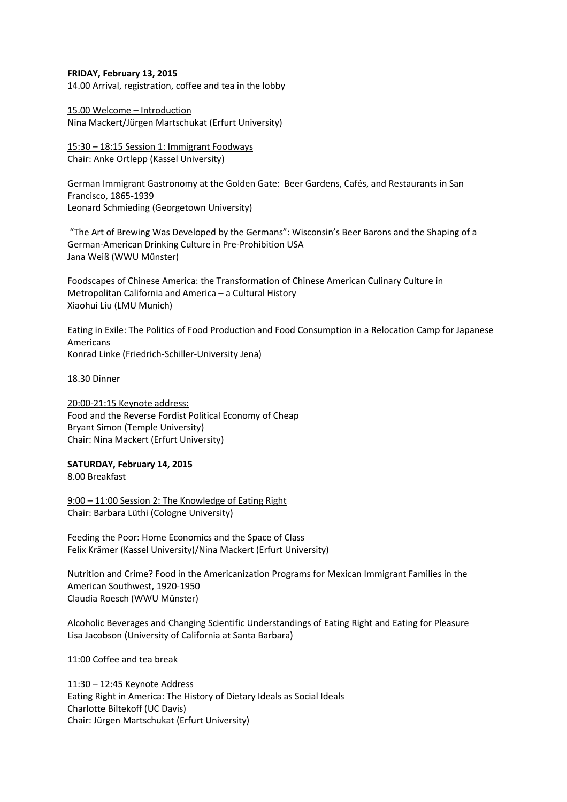## **FRIDAY, February 13, 2015**

14.00 Arrival, registration, coffee and tea in the lobby

15.00 Welcome – Introduction Nina Mackert/Jürgen Martschukat (Erfurt University)

15:30 – 18:15 Session 1: Immigrant Foodways Chair: Anke Ortlepp (Kassel University)

German Immigrant Gastronomy at the Golden Gate: Beer Gardens, Cafés, and Restaurants in San Francisco, 1865-1939 Leonard Schmieding (Georgetown University)

"The Art of Brewing Was Developed by the Germans": Wisconsin's Beer Barons and the Shaping of a German-American Drinking Culture in Pre-Prohibition USA Jana Weiß (WWU Münster)

Foodscapes of Chinese America: the Transformation of Chinese American Culinary Culture in Metropolitan California and America – a Cultural History Xiaohui Liu (LMU Munich)

Eating in Exile: The Politics of Food Production and Food Consumption in a Relocation Camp for Japanese Americans Konrad Linke (Friedrich-Schiller-University Jena)

18.30 Dinner

20:00-21:15 Keynote address: Food and the Reverse Fordist Political Economy of Cheap Bryant Simon (Temple University) Chair: Nina Mackert (Erfurt University)

## **SATURDAY, February 14, 2015**

8.00 Breakfast

9:00 – 11:00 Session 2: The Knowledge of Eating Right Chair: Barbara Lüthi (Cologne University)

Feeding the Poor: Home Economics and the Space of Class Felix Krämer (Kassel University)/Nina Mackert (Erfurt University)

Nutrition and Crime? Food in the Americanization Programs for Mexican Immigrant Families in the American Southwest, 1920-1950 Claudia Roesch (WWU Münster)

Alcoholic Beverages and Changing Scientific Understandings of Eating Right and Eating for Pleasure Lisa Jacobson (University of California at Santa Barbara)

11:00 Coffee and tea break

11:30 – 12:45 Keynote Address Eating Right in America: The History of Dietary Ideals as Social Ideals Charlotte Biltekoff (UC Davis) Chair: Jürgen Martschukat (Erfurt University)